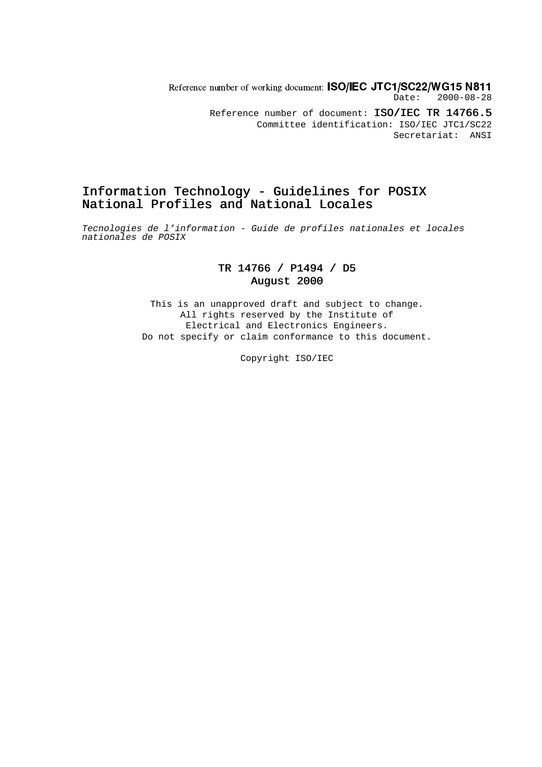Reference number of working document:  $\textsf{ISO/IEC\ JTC1/SC22/WG15\ N811}$ Date: 2000-08-28 Reference number of document: ISO/IEC TR 14766.5 Committee identification: ISO/IEC JTC1/SC22 Secretariat: ANSI

### Information Technology - Guidelines for POSIX National Profiles and National Locales

Tecnologies de l'information - Guide de profiles nationales et locales nationales de POSIX

### TR 14766 / P1494 / D5 August 2000

This is an unapproved draft and subject to change. All rights reserved by the Institute of Electrical and Electronics Engineers. Do not specify or claim conformance to this document.

Copyright ISO/IEC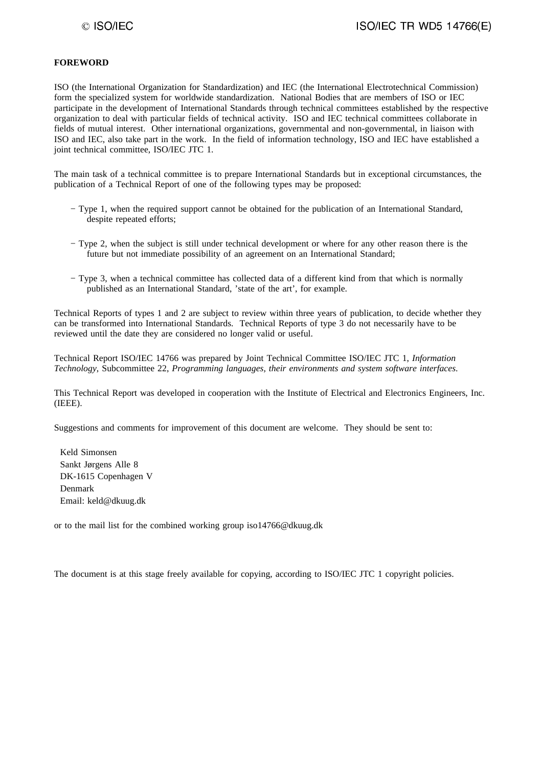#### **FOREWORD**

ISO (the International Organization for Standardization) and IEC (the International Electrotechnical Commission) form the specialized system for worldwide standardization. National Bodies that are members of ISO or IEC participate in the development of International Standards through technical committees established by the respective organization to deal with particular fields of technical activity. ISO and IEC technical committees collaborate in fields of mutual interest. Other international organizations, governmental and non-governmental, in liaison with ISO and IEC, also take part in the work. In the field of information technology, ISO and IEC have established a joint technical committee, ISO/IEC JTC 1.

The main task of a technical committee is to prepare International Standards but in exceptional circumstances, the publication of a Technical Report of one of the following types may be proposed:

- − Type 1, when the required support cannot be obtained for the publication of an International Standard, despite repeated efforts;
- − Type 2, when the subject is still under technical development or where for any other reason there is the future but not immediate possibility of an agreement on an International Standard;
- − Type 3, when a technical committee has collected data of a different kind from that which is normally published as an International Standard, 'state of the art', for example.

Technical Reports of types 1 and 2 are subject to review within three years of publication, to decide whether they can be transformed into International Standards. Technical Reports of type 3 do not necessarily have to be reviewed until the date they are considered no longer valid or useful.

Technical Report ISO/IEC 14766 was prepared by Joint Technical Committee ISO/IEC JTC 1, *Information Technology*, Subcommittee 22, *Programming languages, their environments and system software interfaces*.

This Technical Report was developed in cooperation with the Institute of Electrical and Electronics Engineers, Inc. (IEEE).

Suggestions and comments for improvement of this document are welcome. They should be sent to:

 Keld Simonsen Sankt Jørgens Alle 8 DK-1615 Copenhagen V Denmark Email: keld@dkuug.dk

or to the mail list for the combined working group iso14766@dkuug.dk

The document is at this stage freely available for copying, according to ISO/IEC JTC 1 copyright policies.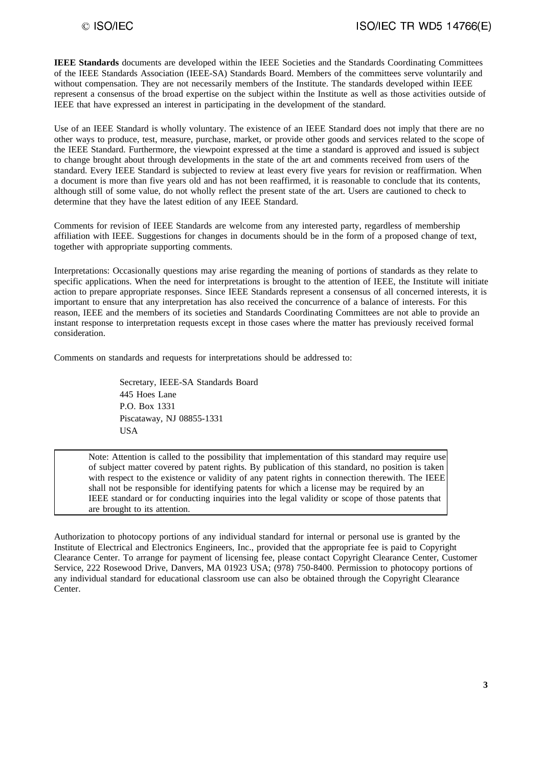**IEEE Standards** documents are developed within the IEEE Societies and the Standards Coordinating Committees of the IEEE Standards Association (IEEE-SA) Standards Board. Members of the committees serve voluntarily and without compensation. They are not necessarily members of the Institute. The standards developed within IEEE represent a consensus of the broad expertise on the subject within the Institute as well as those activities outside of IEEE that have expressed an interest in participating in the development of the standard.

Use of an IEEE Standard is wholly voluntary. The existence of an IEEE Standard does not imply that there are no other ways to produce, test, measure, purchase, market, or provide other goods and services related to the scope of the IEEE Standard. Furthermore, the viewpoint expressed at the time a standard is approved and issued is subject to change brought about through developments in the state of the art and comments received from users of the standard. Every IEEE Standard is subjected to review at least every five years for revision or reaffirmation. When a document is more than five years old and has not been reaffirmed, it is reasonable to conclude that its contents, although still of some value, do not wholly reflect the present state of the art. Users are cautioned to check to determine that they have the latest edition of any IEEE Standard.

Comments for revision of IEEE Standards are welcome from any interested party, regardless of membership affiliation with IEEE. Suggestions for changes in documents should be in the form of a proposed change of text, together with appropriate supporting comments.

Interpretations: Occasionally questions may arise regarding the meaning of portions of standards as they relate to specific applications. When the need for interpretations is brought to the attention of IEEE, the Institute will initiate action to prepare appropriate responses. Since IEEE Standards represent a consensus of all concerned interests, it is important to ensure that any interpretation has also received the concurrence of a balance of interests. For this reason, IEEE and the members of its societies and Standards Coordinating Committees are not able to provide an instant response to interpretation requests except in those cases where the matter has previously received formal consideration.

Comments on standards and requests for interpretations should be addressed to:

Secretary, IEEE-SA Standards Board 445 Hoes Lane P.O. Box 1331 Piscataway, NJ 08855-1331 **USA** 

Note: Attention is called to the possibility that implementation of this standard may require use of subject matter covered by patent rights. By publication of this standard, no position is taken with respect to the existence or validity of any patent rights in connection therewith. The IEEE shall not be responsible for identifying patents for which a license may be required by an IEEE standard or for conducting inquiries into the legal validity or scope of those patents that are brought to its attention.

Authorization to photocopy portions of any individual standard for internal or personal use is granted by the Institute of Electrical and Electronics Engineers, Inc., provided that the appropriate fee is paid to Copyright Clearance Center. To arrange for payment of licensing fee, please contact Copyright Clearance Center, Customer Service, 222 Rosewood Drive, Danvers, MA 01923 USA; (978) 750-8400. Permission to photocopy portions of any individual standard for educational classroom use can also be obtained through the Copyright Clearance Center.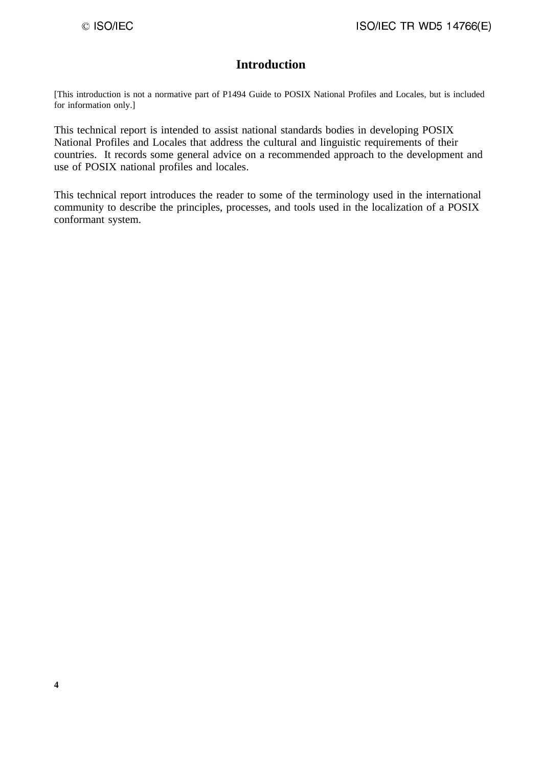# **Introduction**

[This introduction is not a normative part of P1494 Guide to POSIX National Profiles and Locales, but is included for information only.]

This technical report is intended to assist national standards bodies in developing POSIX National Profiles and Locales that address the cultural and linguistic requirements of their countries. It records some general advice on a recommended approach to the development and use of POSIX national profiles and locales.

This technical report introduces the reader to some of the terminology used in the international community to describe the principles, processes, and tools used in the localization of a POSIX conformant system.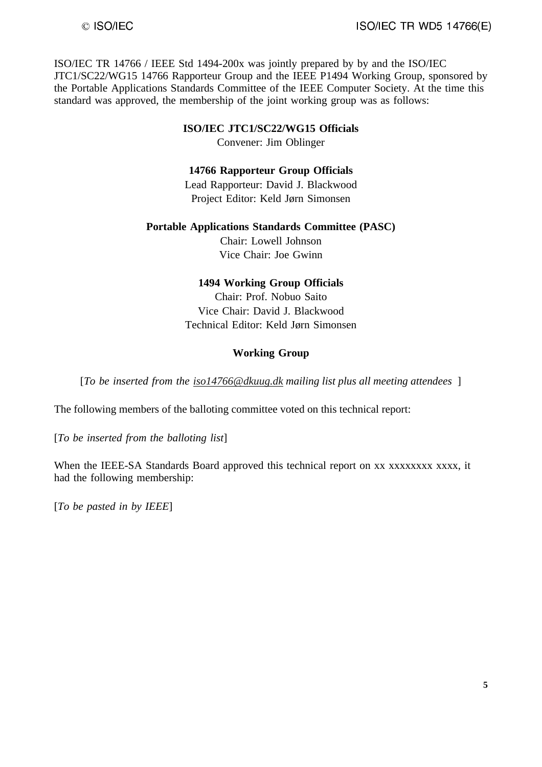ISO/IEC TR 14766 / IEEE Std 1494-200x was jointly prepared by by and the ISO/IEC JTC1/SC22/WG15 14766 Rapporteur Group and the IEEE P1494 Working Group, sponsored by the Portable Applications Standards Committee of the IEEE Computer Society. At the time this standard was approved, the membership of the joint working group was as follows:

#### **ISO/IEC JTC1/SC22/WG15 Officials**

Convener: Jim Oblinger

#### **14766 Rapporteur Group Officials**

Lead Rapporteur: David J. Blackwood Project Editor: Keld Jørn Simonsen

### **Portable Applications Standards Committee (PASC)**

Chair: Lowell Johnson Vice Chair: Joe Gwinn

#### **1494 Working Group Officials**

Chair: Prof. Nobuo Saito Vice Chair: David J. Blackwood Technical Editor: Keld Jørn Simonsen

#### **Working Group**

[*To be inserted from the iso14766@dkuug.dk mailing list plus all meeting attendees* ]

The following members of the balloting committee voted on this technical report:

[*To be inserted from the balloting list*]

When the IEEE-SA Standards Board approved this technical report on xx xxxxxxxx xxxx, it had the following membership:

[*To be pasted in by IEEE*]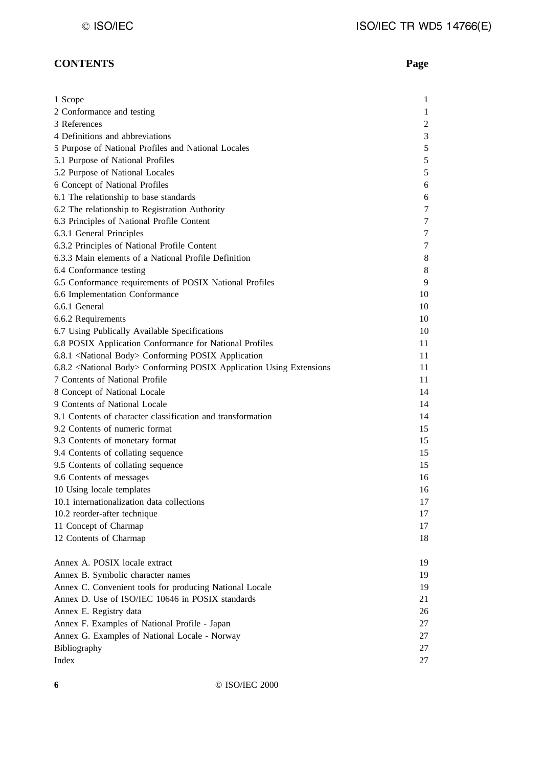# **CONTENTS Page**

| 1 Scope                                                                           | $\mathbf{1}$   |
|-----------------------------------------------------------------------------------|----------------|
| 2 Conformance and testing                                                         | $\mathbf{1}$   |
| 3 References                                                                      | $\overline{c}$ |
| 4 Definitions and abbreviations                                                   | 3              |
| 5 Purpose of National Profiles and National Locales                               | $\sqrt{5}$     |
| 5.1 Purpose of National Profiles                                                  | $\mathfrak s$  |
| 5.2 Purpose of National Locales                                                   | $\mathfrak s$  |
| 6 Concept of National Profiles                                                    | 6              |
| 6.1 The relationship to base standards                                            | 6              |
| 6.2 The relationship to Registration Authority                                    | 7              |
| 6.3 Principles of National Profile Content                                        | 7              |
| 6.3.1 General Principles                                                          | 7              |
| 6.3.2 Principles of National Profile Content                                      | 7              |
| 6.3.3 Main elements of a National Profile Definition                              | 8              |
| 6.4 Conformance testing                                                           | 8              |
| 6.5 Conformance requirements of POSIX National Profiles                           | 9              |
| 6.6 Implementation Conformance                                                    | 10             |
| 6.6.1 General                                                                     | 10             |
| 6.6.2 Requirements                                                                | 10             |
| 6.7 Using Publically Available Specifications                                     | 10             |
| 6.8 POSIX Application Conformance for National Profiles                           | 11             |
| 6.8.1 <national body=""> Conforming POSIX Application</national>                  | 11             |
| 6.8.2 <national body=""> Conforming POSIX Application Using Extensions</national> | 11             |
| 7 Contents of National Profile                                                    | 11             |
| 8 Concept of National Locale                                                      | 14             |
| 9 Contents of National Locale                                                     | 14             |
| 9.1 Contents of character classification and transformation                       | 14             |
| 9.2 Contents of numeric format                                                    | 15             |
| 9.3 Contents of monetary format                                                   | 15             |
| 9.4 Contents of collating sequence                                                | 15             |
| 9.5 Contents of collating sequence                                                | 15             |
| 9.6 Contents of messages                                                          | 16             |
| 10 Using locale templates                                                         | 16             |
| 10.1 internationalization data collections                                        | 17             |
| 10.2 reorder-after technique                                                      | 17             |
| 11 Concept of Charmap                                                             | 17             |
| 12 Contents of Charmap                                                            | 18             |
|                                                                                   |                |
| Annex A. POSIX locale extract                                                     | 19             |
| Annex B. Symbolic character names                                                 | 19             |
| Annex C. Convenient tools for producing National Locale                           | 19             |
| Annex D. Use of ISO/IEC 10646 in POSIX standards                                  | 21             |
| Annex E. Registry data                                                            | 26             |
| Annex F. Examples of National Profile - Japan                                     | 27             |
| Annex G. Examples of National Locale - Norway                                     | 27             |
| Bibliography                                                                      | 27             |
| Index                                                                             | 27             |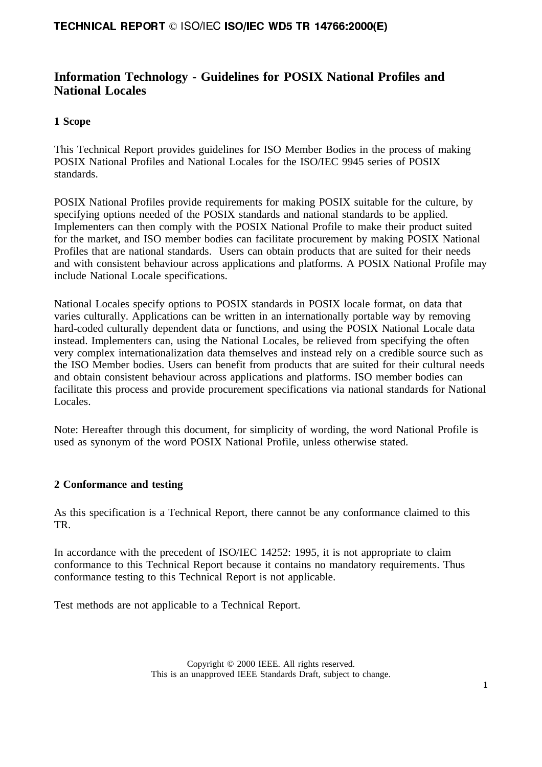# **Information Technology - Guidelines for POSIX National Profiles and National Locales**

### **1 Scope**

This Technical Report provides guidelines for ISO Member Bodies in the process of making POSIX National Profiles and National Locales for the ISO/IEC 9945 series of POSIX standards.

POSIX National Profiles provide requirements for making POSIX suitable for the culture, by specifying options needed of the POSIX standards and national standards to be applied. Implementers can then comply with the POSIX National Profile to make their product suited for the market, and ISO member bodies can facilitate procurement by making POSIX National Profiles that are national standards. Users can obtain products that are suited for their needs and with consistent behaviour across applications and platforms. A POSIX National Profile may include National Locale specifications.

National Locales specify options to POSIX standards in POSIX locale format, on data that varies culturally. Applications can be written in an internationally portable way by removing hard-coded culturally dependent data or functions, and using the POSIX National Locale data instead. Implementers can, using the National Locales, be relieved from specifying the often very complex internationalization data themselves and instead rely on a credible source such as the ISO Member bodies. Users can benefit from products that are suited for their cultural needs and obtain consistent behaviour across applications and platforms. ISO member bodies can facilitate this process and provide procurement specifications via national standards for National Locales.

Note: Hereafter through this document, for simplicity of wording, the word National Profile is used as synonym of the word POSIX National Profile, unless otherwise stated.

### **2 Conformance and testing**

As this specification is a Technical Report, there cannot be any conformance claimed to this TR.

In accordance with the precedent of ISO/IEC 14252: 1995, it is not appropriate to claim conformance to this Technical Report because it contains no mandatory requirements. Thus conformance testing to this Technical Report is not applicable.

Test methods are not applicable to a Technical Report.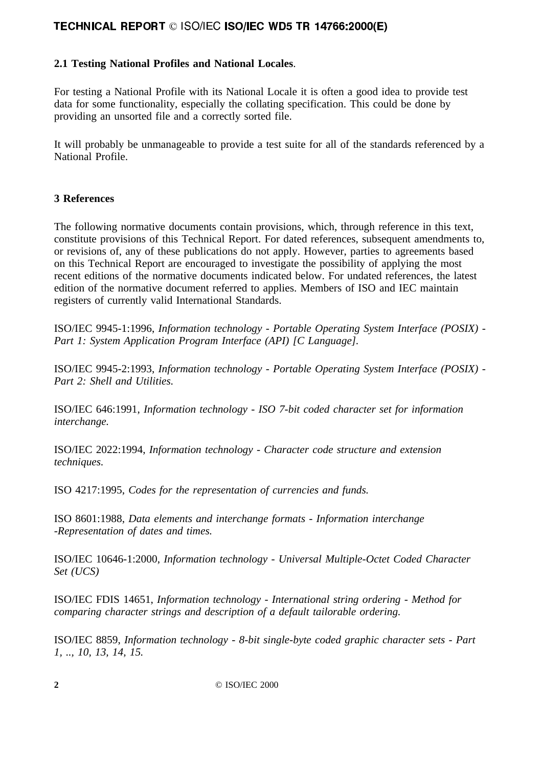# **2.1 Testing National Profiles and National Locales**.

For testing a National Profile with its National Locale it is often a good idea to provide test data for some functionality, especially the collating specification. This could be done by providing an unsorted file and a correctly sorted file.

It will probably be unmanageable to provide a test suite for all of the standards referenced by a National Profile.

### **3 References**

The following normative documents contain provisions, which, through reference in this text, constitute provisions of this Technical Report. For dated references, subsequent amendments to, or revisions of, any of these publications do not apply. However, parties to agreements based on this Technical Report are encouraged to investigate the possibility of applying the most recent editions of the normative documents indicated below. For undated references, the latest edition of the normative document referred to applies. Members of ISO and IEC maintain registers of currently valid International Standards.

ISO/IEC 9945-1:1996, *Information technology - Portable Operating System Interface (POSIX) - Part 1: System Application Program Interface (API) [C Language].*

ISO/IEC 9945-2:1993, *Information technology - Portable Operating System Interface (POSIX) - Part 2: Shell and Utilities.* 

ISO/IEC 646:1991, *Information technology - ISO 7-bit coded character set for information interchange.*

ISO/IEC 2022:1994, *Information technology - Character code structure and extension techniques.*

ISO 4217:1995, *Codes for the representation of currencies and funds.*

ISO 8601:1988, *Data elements and interchange formats - Information interchange -Representation of dates and times.*

ISO/IEC 10646-1:2000, *Information technology - Universal Multiple-Octet Coded Character Set (UCS)*

ISO/IEC FDIS 14651, *Information technology - International string ordering - Method for comparing character strings and description of a default tailorable ordering.*

ISO/IEC 8859, *Information technology - 8-bit single-byte coded graphic character sets - Part 1, .., 10, 13, 14, 15.*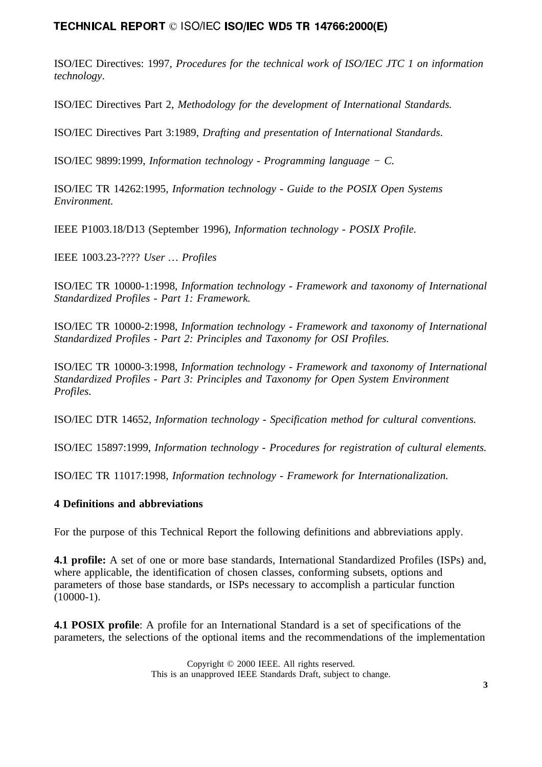ISO/IEC Directives: 1997, *Procedures for the technical work of ISO/IEC JTC 1 on information technology*.

ISO/IEC Directives Part 2, *Methodology for the development of International Standards.*

ISO/IEC Directives Part 3:1989, *Drafting and presentation of International Standards*.

ISO/IEC 9899:1999, *Information technology - Programming language − C.*

ISO/IEC TR 14262:1995, *Information technology - Guide to the POSIX Open Systems Environment.*

IEEE P1003.18/D13 (September 1996), *Information technology - POSIX Profile.*

IEEE 1003.23-???? *User … Profiles*

ISO/IEC TR 10000-1:1998, *Information technology - Framework and taxonomy of International Standardized Profiles - Part 1: Framework.*

ISO/IEC TR 10000-2:1998, *Information technology - Framework and taxonomy of International Standardized Profiles - Part 2: Principles and Taxonomy for OSI Profiles.*

ISO/IEC TR 10000-3:1998, *Information technology - Framework and taxonomy of International Standardized Profiles - Part 3: Principles and Taxonomy for Open System Environment Profiles.*

ISO/IEC DTR 14652, *Information technology - Specification method for cultural conventions.*

ISO/IEC 15897:1999, *Information technology - Procedures for registration of cultural elements.*

ISO/IEC TR 11017:1998, *Information technology - Framework for Internationalization.*

### **4 Definitions and abbreviations**

For the purpose of this Technical Report the following definitions and abbreviations apply.

**4.1 profile:** A set of one or more base standards, International Standardized Profiles (ISPs) and, where applicable, the identification of chosen classes, conforming subsets, options and parameters of those base standards, or ISPs necessary to accomplish a particular function  $(10000-1)$ .

**4.1 POSIX profile**: A profile for an International Standard is a set of specifications of the parameters, the selections of the optional items and the recommendations of the implementation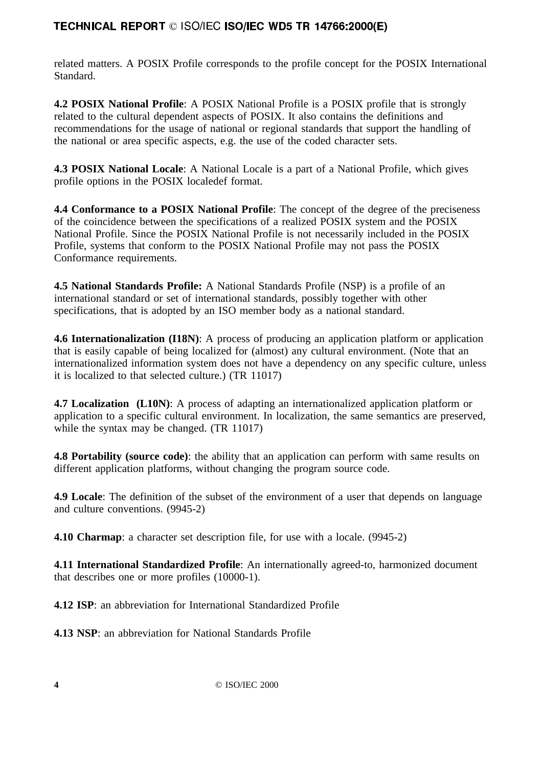related matters. A POSIX Profile corresponds to the profile concept for the POSIX International Standard.

**4.2 POSIX National Profile**: A POSIX National Profile is a POSIX profile that is strongly related to the cultural dependent aspects of POSIX. It also contains the definitions and recommendations for the usage of national or regional standards that support the handling of the national or area specific aspects, e.g. the use of the coded character sets.

**4.3 POSIX National Locale**: A National Locale is a part of a National Profile, which gives profile options in the POSIX localedef format.

**4.4 Conformance to a POSIX National Profile**: The concept of the degree of the preciseness of the coincidence between the specifications of a realized POSIX system and the POSIX National Profile. Since the POSIX National Profile is not necessarily included in the POSIX Profile, systems that conform to the POSIX National Profile may not pass the POSIX Conformance requirements.

**4.5 National Standards Profile:** A National Standards Profile (NSP) is a profile of an international standard or set of international standards, possibly together with other specifications, that is adopted by an ISO member body as a national standard.

**4.6 Internationalization (I18N)**: A process of producing an application platform or application that is easily capable of being localized for (almost) any cultural environment. (Note that an internationalized information system does not have a dependency on any specific culture, unless it is localized to that selected culture.) (TR 11017)

**4.7 Localization** (L10N): A process of adapting an internationalized application platform or application to a specific cultural environment. In localization, the same semantics are preserved, while the syntax may be changed. *(TR 11017)* 

**4.8 Portability (source code)**: the ability that an application can perform with same results on different application platforms, without changing the program source code.

**4.9 Locale**: The definition of the subset of the environment of a user that depends on language and culture conventions. (9945-2)

**4.10 Charmap**: a character set description file, for use with a locale. (9945-2)

**4.11 International Standardized Profile**: An internationally agreed-to, harmonized document that describes one or more profiles (10000-1).

**4.12 ISP**: an abbreviation for International Standardized Profile

**4.13 NSP**: an abbreviation for National Standards Profile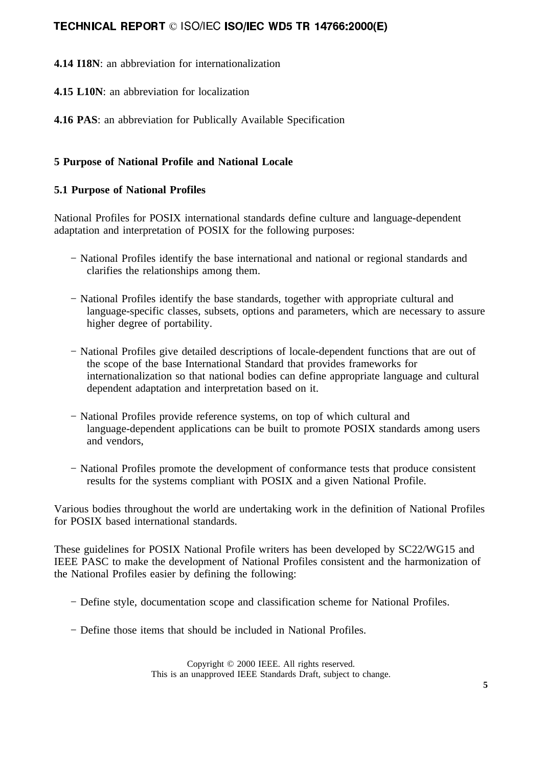**4.14 I18N**: an abbreviation for internationalization

**4.15 L10N**: an abbreviation for localization

**4.16 PAS**: an abbreviation for Publically Available Specification

# **5 Purpose of National Profile and National Locale**

### **5.1 Purpose of National Profiles**

National Profiles for POSIX international standards define culture and language-dependent adaptation and interpretation of POSIX for the following purposes:

- − National Profiles identify the base international and national or regional standards and clarifies the relationships among them.
- − National Profiles identify the base standards, together with appropriate cultural and language-specific classes, subsets, options and parameters, which are necessary to assure higher degree of portability.
- − National Profiles give detailed descriptions of locale-dependent functions that are out of the scope of the base International Standard that provides frameworks for internationalization so that national bodies can define appropriate language and cultural dependent adaptation and interpretation based on it.
- − National Profiles provide reference systems, on top of which cultural and language-dependent applications can be built to promote POSIX standards among users and vendors,
- − National Profiles promote the development of conformance tests that produce consistent results for the systems compliant with POSIX and a given National Profile.

Various bodies throughout the world are undertaking work in the definition of National Profiles for POSIX based international standards.

These guidelines for POSIX National Profile writers has been developed by SC22/WG15 and IEEE PASC to make the development of National Profiles consistent and the harmonization of the National Profiles easier by defining the following:

- − Define style, documentation scope and classification scheme for National Profiles.
- − Define those items that should be included in National Profiles.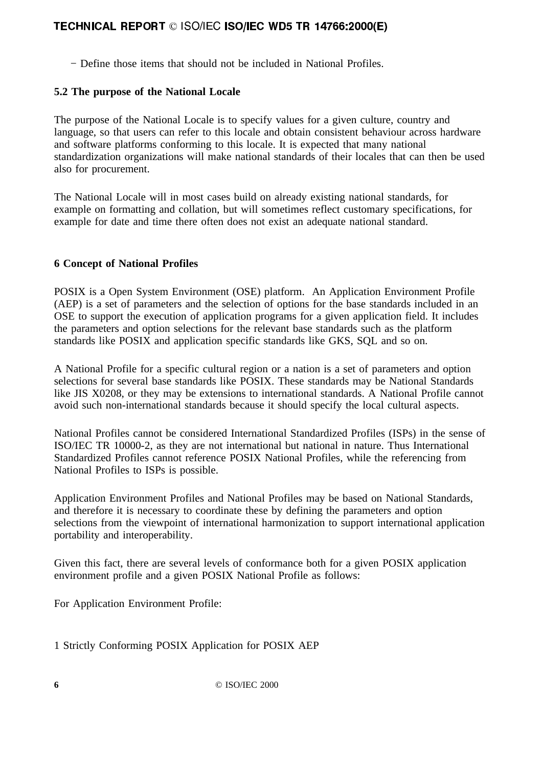− Define those items that should not be included in National Profiles.

# **5.2 The purpose of the National Locale**

The purpose of the National Locale is to specify values for a given culture, country and language, so that users can refer to this locale and obtain consistent behaviour across hardware and software platforms conforming to this locale. It is expected that many national standardization organizations will make national standards of their locales that can then be used also for procurement.

The National Locale will in most cases build on already existing national standards, for example on formatting and collation, but will sometimes reflect customary specifications, for example for date and time there often does not exist an adequate national standard.

## **6 Concept of National Profiles**

POSIX is a Open System Environment (OSE) platform. An Application Environment Profile (AEP) is a set of parameters and the selection of options for the base standards included in an OSE to support the execution of application programs for a given application field. It includes the parameters and option selections for the relevant base standards such as the platform standards like POSIX and application specific standards like GKS, SQL and so on.

A National Profile for a specific cultural region or a nation is a set of parameters and option selections for several base standards like POSIX. These standards may be National Standards like JIS X0208, or they may be extensions to international standards. A National Profile cannot avoid such non-international standards because it should specify the local cultural aspects.

National Profiles cannot be considered International Standardized Profiles (ISPs) in the sense of ISO/IEC TR 10000-2, as they are not international but national in nature. Thus International Standardized Profiles cannot reference POSIX National Profiles, while the referencing from National Profiles to ISPs is possible.

Application Environment Profiles and National Profiles may be based on National Standards, and therefore it is necessary to coordinate these by defining the parameters and option selections from the viewpoint of international harmonization to support international application portability and interoperability.

Given this fact, there are several levels of conformance both for a given POSIX application environment profile and a given POSIX National Profile as follows:

For Application Environment Profile:

1 Strictly Conforming POSIX Application for POSIX AEP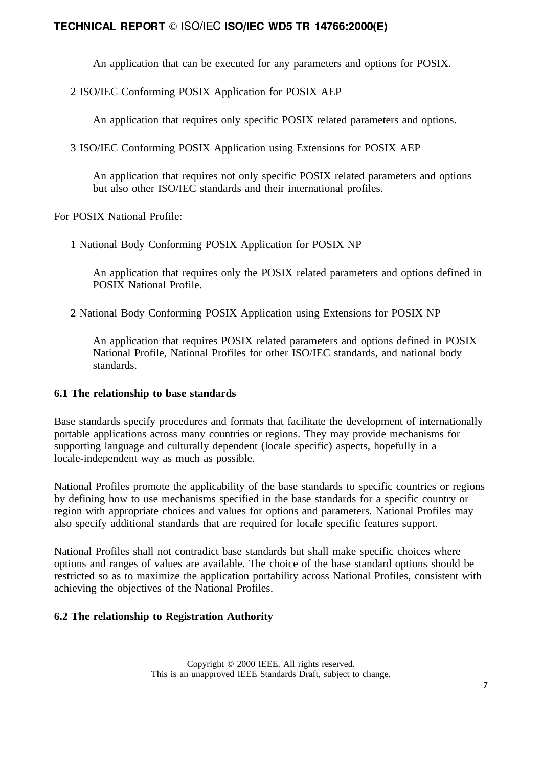An application that can be executed for any parameters and options for POSIX.

2 ISO/IEC Conforming POSIX Application for POSIX AEP

An application that requires only specific POSIX related parameters and options.

3 ISO/IEC Conforming POSIX Application using Extensions for POSIX AEP

An application that requires not only specific POSIX related parameters and options but also other ISO/IEC standards and their international profiles.

For POSIX National Profile:

1 National Body Conforming POSIX Application for POSIX NP

An application that requires only the POSIX related parameters and options defined in POSIX National Profile.

2 National Body Conforming POSIX Application using Extensions for POSIX NP

An application that requires POSIX related parameters and options defined in POSIX National Profile, National Profiles for other ISO/IEC standards, and national body standards.

### **6.1 The relationship to base standards**

Base standards specify procedures and formats that facilitate the development of internationally portable applications across many countries or regions. They may provide mechanisms for supporting language and culturally dependent (locale specific) aspects, hopefully in a locale-independent way as much as possible.

National Profiles promote the applicability of the base standards to specific countries or regions by defining how to use mechanisms specified in the base standards for a specific country or region with appropriate choices and values for options and parameters. National Profiles may also specify additional standards that are required for locale specific features support.

National Profiles shall not contradict base standards but shall make specific choices where options and ranges of values are available. The choice of the base standard options should be restricted so as to maximize the application portability across National Profiles, consistent with achieving the objectives of the National Profiles.

### **6.2 The relationship to Registration Authority**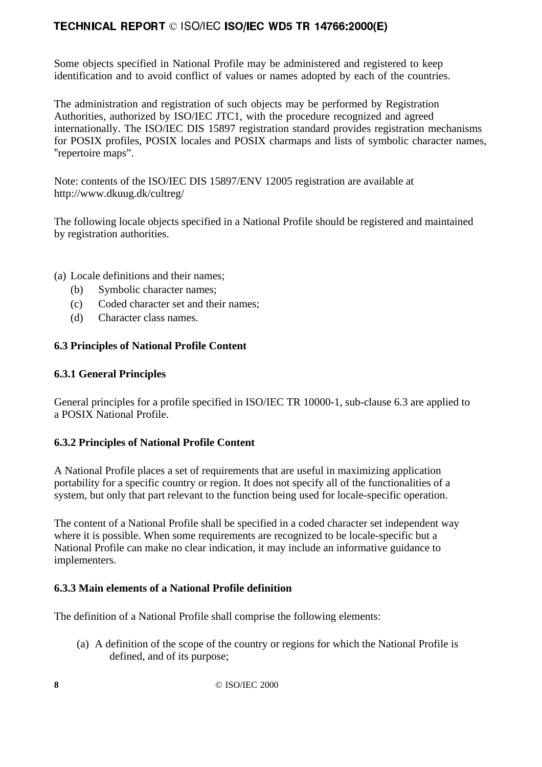Some objects specified in National Profile may be administered and registered to keep identification and to avoid conflict of values or names adopted by each of the countries.

The administration and registration of such objects may be performed by Registration Authorities, authorized by ISO/IEC JTC1, with the procedure recognized and agreed internationally. The ISO/IEC DIS 15897 registration standard provides registration mechanisms for POSIX profiles, POSIX locales and POSIX charmaps and lists of symbolic character names, repertoire maps".

Note: contents of the ISO/IEC DIS 15897/ENV 12005 registration are available at http://www.dkuug.dk/cultreg/

The following locale objects specified in a National Profile should be registered and maintained by registration authorities.

(a) Locale definitions and their names;

- (b) Symbolic character names;
- (c) Coded character set and their names;
- (d) Character class names.

## **6.3 Principles of National Profile Content**

### **6.3.1 General Principles**

General principles for a profile specified in ISO/IEC TR 10000-1, sub-clause 6.3 are applied to a POSIX National Profile.

# **6.3.2 Principles of National Profile Content**

A National Profile places a set of requirements that are useful in maximizing application portability for a specific country or region. It does not specify all of the functionalities of a system, but only that part relevant to the function being used for locale-specific operation.

The content of a National Profile shall be specified in a coded character set independent way where it is possible. When some requirements are recognized to be locale-specific but a National Profile can make no clear indication, it may include an informative guidance to implementers.

# **6.3.3 Main elements of a National Profile definition**

The definition of a National Profile shall comprise the following elements:

(a) A definition of the scope of the country or regions for which the National Profile is defined, and of its purpose;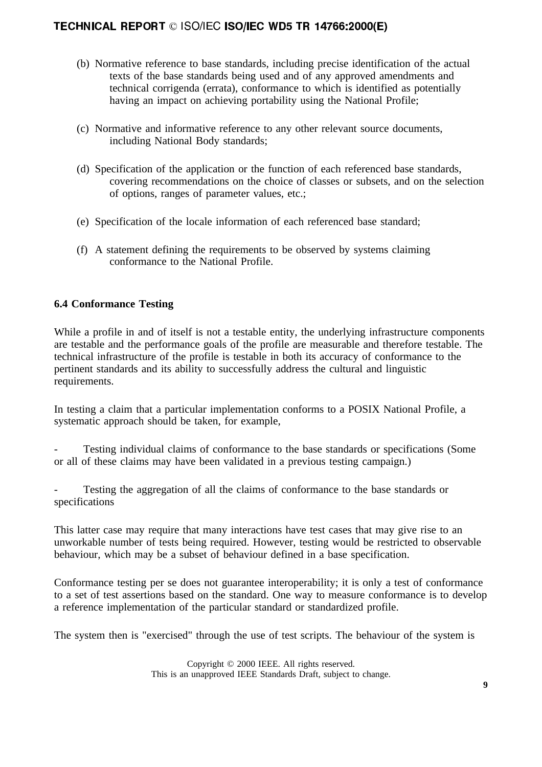- (b) Normative reference to base standards, including precise identification of the actual texts of the base standards being used and of any approved amendments and technical corrigenda (errata), conformance to which is identified as potentially having an impact on achieving portability using the National Profile;
- (c) Normative and informative reference to any other relevant source documents, including National Body standards;
- (d) Specification of the application or the function of each referenced base standards, covering recommendations on the choice of classes or subsets, and on the selection of options, ranges of parameter values, etc.;
- (e) Specification of the locale information of each referenced base standard;
- (f) A statement defining the requirements to be observed by systems claiming conformance to the National Profile.

### **6.4 Conformance Testing**

While a profile in and of itself is not a testable entity, the underlying infrastructure components are testable and the performance goals of the profile are measurable and therefore testable. The technical infrastructure of the profile is testable in both its accuracy of conformance to the pertinent standards and its ability to successfully address the cultural and linguistic requirements.

In testing a claim that a particular implementation conforms to a POSIX National Profile, a systematic approach should be taken, for example,

Testing individual claims of conformance to the base standards or specifications (Some or all of these claims may have been validated in a previous testing campaign.)

Testing the aggregation of all the claims of conformance to the base standards or specifications

This latter case may require that many interactions have test cases that may give rise to an unworkable number of tests being required. However, testing would be restricted to observable behaviour, which may be a subset of behaviour defined in a base specification.

Conformance testing per se does not guarantee interoperability; it is only a test of conformance to a set of test assertions based on the standard. One way to measure conformance is to develop a reference implementation of the particular standard or standardized profile.

The system then is "exercised" through the use of test scripts. The behaviour of the system is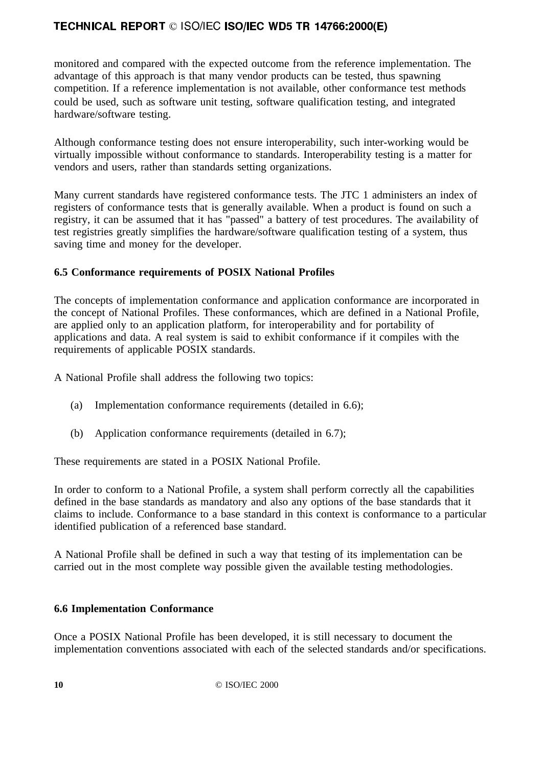monitored and compared with the expected outcome from the reference implementation. The advantage of this approach is that many vendor products can be tested, thus spawning competition. If a reference implementation is not available, other conformance test methods could be used, such as software unit testing, software qualification testing, and integrated hardware/software testing.

Although conformance testing does not ensure interoperability, such inter-working would be virtually impossible without conformance to standards. Interoperability testing is a matter for vendors and users, rather than standards setting organizations.

Many current standards have registered conformance tests. The JTC 1 administers an index of registers of conformance tests that is generally available. When a product is found on such a registry, it can be assumed that it has "passed" a battery of test procedures. The availability of test registries greatly simplifies the hardware/software qualification testing of a system, thus saving time and money for the developer.

## **6.5 Conformance requirements of POSIX National Profiles**

The concepts of implementation conformance and application conformance are incorporated in the concept of National Profiles. These conformances, which are defined in a National Profile, are applied only to an application platform, for interoperability and for portability of applications and data. A real system is said to exhibit conformance if it compiles with the requirements of applicable POSIX standards.

A National Profile shall address the following two topics:

- (a) Implementation conformance requirements (detailed in 6.6);
- (b) Application conformance requirements (detailed in 6.7);

These requirements are stated in a POSIX National Profile.

In order to conform to a National Profile, a system shall perform correctly all the capabilities defined in the base standards as mandatory and also any options of the base standards that it claims to include. Conformance to a base standard in this context is conformance to a particular identified publication of a referenced base standard.

A National Profile shall be defined in such a way that testing of its implementation can be carried out in the most complete way possible given the available testing methodologies.

### **6.6 Implementation Conformance**

Once a POSIX National Profile has been developed, it is still necessary to document the implementation conventions associated with each of the selected standards and/or specifications.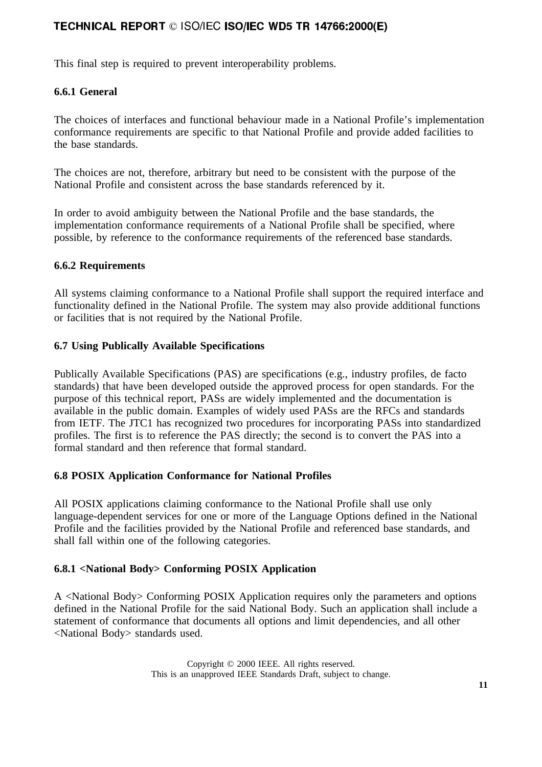This final step is required to prevent interoperability problems.

# **6.6.1 General**

The choices of interfaces and functional behaviour made in a National Profile's implementation conformance requirements are specific to that National Profile and provide added facilities to the base standards.

The choices are not, therefore, arbitrary but need to be consistent with the purpose of the National Profile and consistent across the base standards referenced by it.

In order to avoid ambiguity between the National Profile and the base standards, the implementation conformance requirements of a National Profile shall be specified, where possible, by reference to the conformance requirements of the referenced base standards.

### **6.6.2 Requirements**

All systems claiming conformance to a National Profile shall support the required interface and functionality defined in the National Profile. The system may also provide additional functions or facilities that is not required by the National Profile.

### **6.7 Using Publically Available Specifications**

Publically Available Specifications (PAS) are specifications (e.g., industry profiles, de facto standards) that have been developed outside the approved process for open standards. For the purpose of this technical report, PASs are widely implemented and the documentation is available in the public domain. Examples of widely used PASs are the RFCs and standards from IETF. The JTC1 has recognized two procedures for incorporating PASs into standardized profiles. The first is to reference the PAS directly; the second is to convert the PAS into a formal standard and then reference that formal standard.

### **6.8 POSIX Application Conformance for National Profiles**

All POSIX applications claiming conformance to the National Profile shall use only language-dependent services for one or more of the Language Options defined in the National Profile and the facilities provided by the National Profile and referenced base standards, and shall fall within one of the following categories.

### **6.8.1 <National Body> Conforming POSIX Application**

A <National Body> Conforming POSIX Application requires only the parameters and options defined in the National Profile for the said National Body. Such an application shall include a statement of conformance that documents all options and limit dependencies, and all other <National Body> standards used.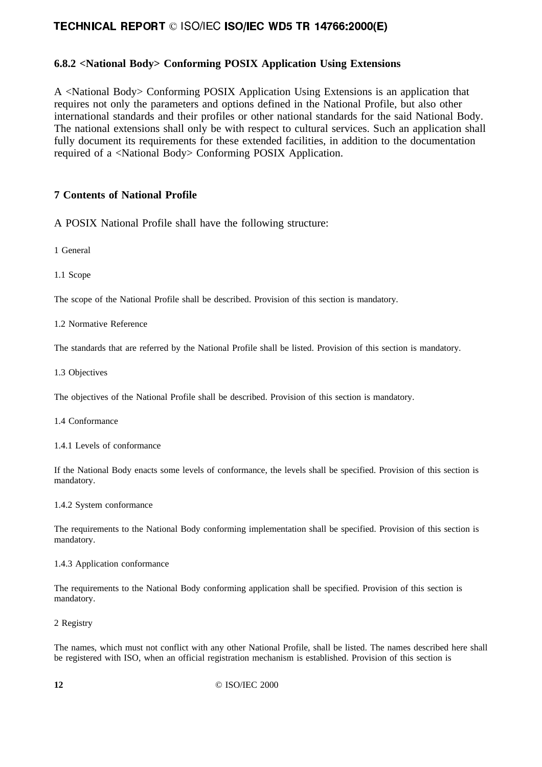### **6.8.2 <National Body> Conforming POSIX Application Using Extensions**

A <National Body> Conforming POSIX Application Using Extensions is an application that requires not only the parameters and options defined in the National Profile, but also other international standards and their profiles or other national standards for the said National Body. The national extensions shall only be with respect to cultural services. Such an application shall fully document its requirements for these extended facilities, in addition to the documentation required of a <National Body> Conforming POSIX Application.

### **7 Contents of National Profile**

A POSIX National Profile shall have the following structure:

1 General

1.1 Scope

The scope of the National Profile shall be described. Provision of this section is mandatory.

1.2 Normative Reference

The standards that are referred by the National Profile shall be listed. Provision of this section is mandatory.

1.3 Objectives

The objectives of the National Profile shall be described. Provision of this section is mandatory.

1.4 Conformance

1.4.1 Levels of conformance

If the National Body enacts some levels of conformance, the levels shall be specified. Provision of this section is mandatory.

1.4.2 System conformance

The requirements to the National Body conforming implementation shall be specified. Provision of this section is mandatory.

1.4.3 Application conformance

The requirements to the National Body conforming application shall be specified. Provision of this section is mandatory.

2 Registry

The names, which must not conflict with any other National Profile, shall be listed. The names described here shall be registered with ISO, when an official registration mechanism is established. Provision of this section is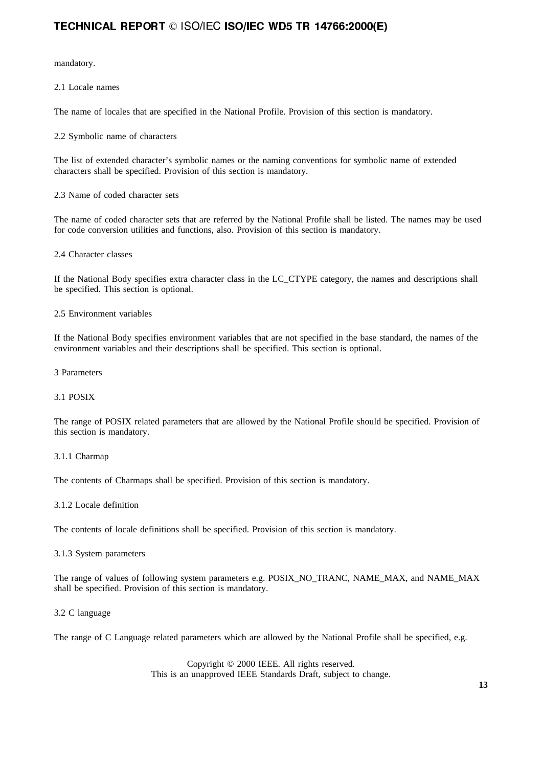mandatory.

2.1 Locale names

The name of locales that are specified in the National Profile. Provision of this section is mandatory.

2.2 Symbolic name of characters

The list of extended character's symbolic names or the naming conventions for symbolic name of extended characters shall be specified. Provision of this section is mandatory.

2.3 Name of coded character sets

The name of coded character sets that are referred by the National Profile shall be listed. The names may be used for code conversion utilities and functions, also. Provision of this section is mandatory.

2.4 Character classes

If the National Body specifies extra character class in the LC\_CTYPE category, the names and descriptions shall be specified. This section is optional.

#### 2.5 Environment variables

If the National Body specifies environment variables that are not specified in the base standard, the names of the environment variables and their descriptions shall be specified. This section is optional.

3 Parameters

#### 3.1 POSIX

The range of POSIX related parameters that are allowed by the National Profile should be specified. Provision of this section is mandatory.

#### 3.1.1 Charmap

The contents of Charmaps shall be specified. Provision of this section is mandatory.

#### 3.1.2 Locale definition

The contents of locale definitions shall be specified. Provision of this section is mandatory.

#### 3.1.3 System parameters

The range of values of following system parameters e.g. POSIX\_NO\_TRANC, NAME\_MAX, and NAME\_MAX shall be specified. Provision of this section is mandatory.

#### 3.2 C language

The range of C Language related parameters which are allowed by the National Profile shall be specified, e.g.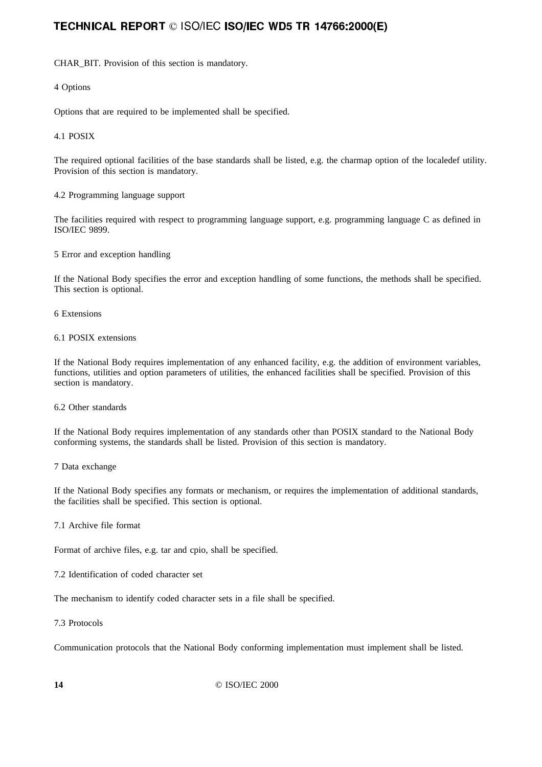CHAR\_BIT. Provision of this section is mandatory.

4 Options

Options that are required to be implemented shall be specified.

#### 4.1 POSIX

The required optional facilities of the base standards shall be listed, e.g. the charmap option of the localedef utility. Provision of this section is mandatory.

4.2 Programming language support

The facilities required with respect to programming language support, e.g. programming language C as defined in ISO/IEC 9899.

5 Error and exception handling

If the National Body specifies the error and exception handling of some functions, the methods shall be specified. This section is optional.

6 Extensions

6.1 POSIX extensions

If the National Body requires implementation of any enhanced facility, e.g. the addition of environment variables, functions, utilities and option parameters of utilities, the enhanced facilities shall be specified. Provision of this section is mandatory.

6.2 Other standards

If the National Body requires implementation of any standards other than POSIX standard to the National Body conforming systems, the standards shall be listed. Provision of this section is mandatory.

7 Data exchange

If the National Body specifies any formats or mechanism, or requires the implementation of additional standards, the facilities shall be specified. This section is optional.

7.1 Archive file format

Format of archive files, e.g. tar and cpio, shall be specified.

7.2 Identification of coded character set

The mechanism to identify coded character sets in a file shall be specified.

7.3 Protocols

Communication protocols that the National Body conforming implementation must implement shall be listed.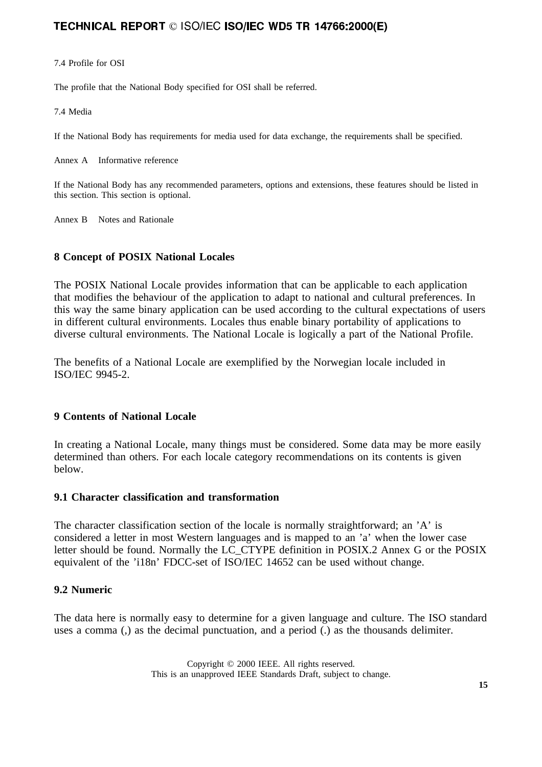#### 7.4 Profile for OSI

The profile that the National Body specified for OSI shall be referred.

7.4 Media

If the National Body has requirements for media used for data exchange, the requirements shall be specified.

Annex A Informative reference

If the National Body has any recommended parameters, options and extensions, these features should be listed in this section. This section is optional.

Annex B Notes and Rationale

## **8 Concept of POSIX National Locales**

The POSIX National Locale provides information that can be applicable to each application that modifies the behaviour of the application to adapt to national and cultural preferences. In this way the same binary application can be used according to the cultural expectations of users in different cultural environments. Locales thus enable binary portability of applications to diverse cultural environments. The National Locale is logically a part of the National Profile.

The benefits of a National Locale are exemplified by the Norwegian locale included in ISO/IEC 9945-2.

### **9 Contents of National Locale**

In creating a National Locale, many things must be considered. Some data may be more easily determined than others. For each locale category recommendations on its contents is given below.

### **9.1 Character classification and transformation**

The character classification section of the locale is normally straightforward; an 'A' is considered a letter in most Western languages and is mapped to an 'a' when the lower case letter should be found. Normally the LC\_CTYPE definition in POSIX.2 Annex G or the POSIX equivalent of the 'i18n' FDCC-set of ISO/IEC 14652 can be used without change.

### **9.2 Numeric**

The data here is normally easy to determine for a given language and culture. The ISO standard uses a comma (,) as the decimal punctuation, and a period (.) as the thousands delimiter.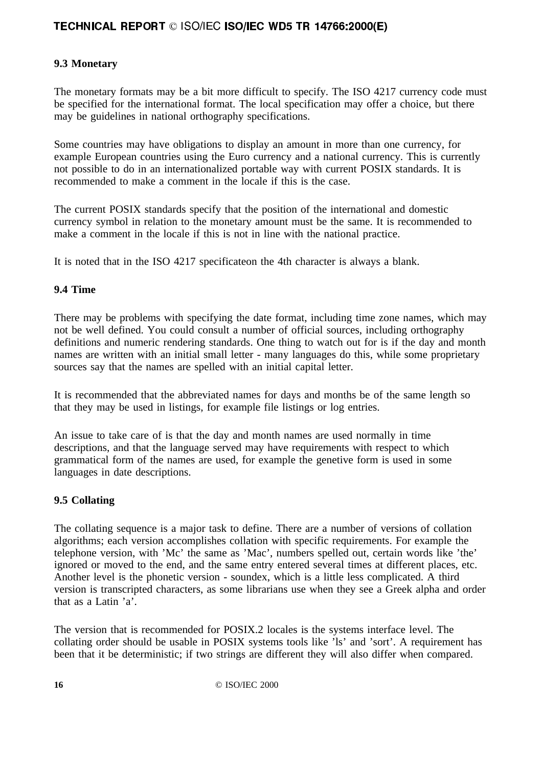# **9.3 Monetary**

The monetary formats may be a bit more difficult to specify. The ISO 4217 currency code must be specified for the international format. The local specification may offer a choice, but there may be guidelines in national orthography specifications.

Some countries may have obligations to display an amount in more than one currency, for example European countries using the Euro currency and a national currency. This is currently not possible to do in an internationalized portable way with current POSIX standards. It is recommended to make a comment in the locale if this is the case.

The current POSIX standards specify that the position of the international and domestic currency symbol in relation to the monetary amount must be the same. It is recommended to make a comment in the locale if this is not in line with the national practice.

It is noted that in the ISO 4217 specificateon the 4th character is always a blank.

### **9.4 Time**

There may be problems with specifying the date format, including time zone names, which may not be well defined. You could consult a number of official sources, including orthography definitions and numeric rendering standards. One thing to watch out for is if the day and month names are written with an initial small letter - many languages do this, while some proprietary sources say that the names are spelled with an initial capital letter.

It is recommended that the abbreviated names for days and months be of the same length so that they may be used in listings, for example file listings or log entries.

An issue to take care of is that the day and month names are used normally in time descriptions, and that the language served may have requirements with respect to which grammatical form of the names are used, for example the genetive form is used in some languages in date descriptions.

### **9.5 Collating**

The collating sequence is a major task to define. There are a number of versions of collation algorithms; each version accomplishes collation with specific requirements. For example the telephone version, with 'Mc' the same as 'Mac', numbers spelled out, certain words like 'the' ignored or moved to the end, and the same entry entered several times at different places, etc. Another level is the phonetic version - soundex, which is a little less complicated. A third version is transcripted characters, as some librarians use when they see a Greek alpha and order that as a Latin 'a'.

The version that is recommended for POSIX.2 locales is the systems interface level. The collating order should be usable in POSIX systems tools like 'ls' and 'sort'. A requirement has been that it be deterministic; if two strings are different they will also differ when compared.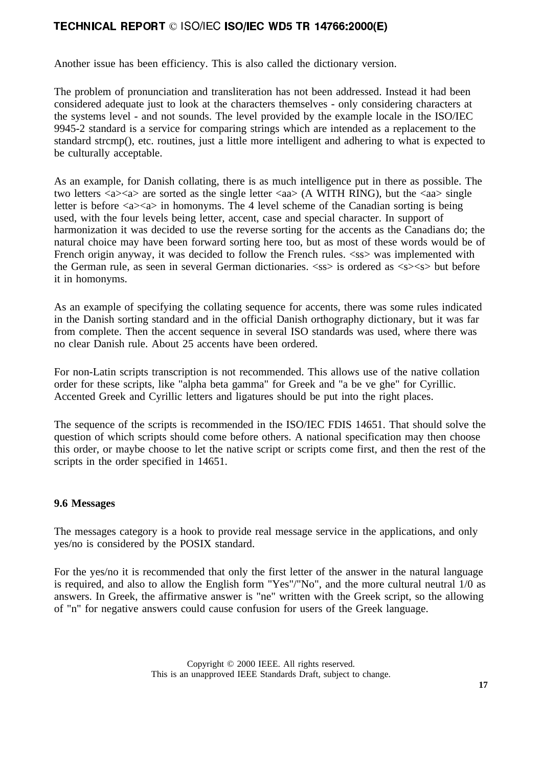Another issue has been efficiency. This is also called the dictionary version.

The problem of pronunciation and transliteration has not been addressed. Instead it had been considered adequate just to look at the characters themselves - only considering characters at the systems level - and not sounds. The level provided by the example locale in the ISO/IEC 9945-2 standard is a service for comparing strings which are intended as a replacement to the standard strcmp(), etc. routines, just a little more intelligent and adhering to what is expected to be culturally acceptable.

As an example, for Danish collating, there is as much intelligence put in there as possible. The two letters  $\langle a \rangle \langle a \rangle$  are sorted as the single letter  $\langle aa \rangle$  (A WITH RING), but the  $\langle aa \rangle$  single letter is before  $\langle a \rangle \langle a \rangle$  in homonyms. The 4 level scheme of the Canadian sorting is being used, with the four levels being letter, accent, case and special character. In support of harmonization it was decided to use the reverse sorting for the accents as the Canadians do; the natural choice may have been forward sorting here too, but as most of these words would be of French origin anyway, it was decided to follow the French rules.  $\langle$ ss $\rangle$  was implemented with the German rule, as seen in several German dictionaries.  $\langle$ ss> is ordered as  $\langle$ s> $\langle$ s> but before it in homonyms.

As an example of specifying the collating sequence for accents, there was some rules indicated in the Danish sorting standard and in the official Danish orthography dictionary, but it was far from complete. Then the accent sequence in several ISO standards was used, where there was no clear Danish rule. About 25 accents have been ordered.

For non-Latin scripts transcription is not recommended. This allows use of the native collation order for these scripts, like "alpha beta gamma" for Greek and "a be ve ghe" for Cyrillic. Accented Greek and Cyrillic letters and ligatures should be put into the right places.

The sequence of the scripts is recommended in the ISO/IEC FDIS 14651. That should solve the question of which scripts should come before others. A national specification may then choose this order, or maybe choose to let the native script or scripts come first, and then the rest of the scripts in the order specified in 14651.

### **9.6 Messages**

The messages category is a hook to provide real message service in the applications, and only yes/no is considered by the POSIX standard.

For the yes/no it is recommended that only the first letter of the answer in the natural language is required, and also to allow the English form "Yes"/"No", and the more cultural neutral 1/0 as answers. In Greek, the affirmative answer is "ne" written with the Greek script, so the allowing of "n" for negative answers could cause confusion for users of the Greek language.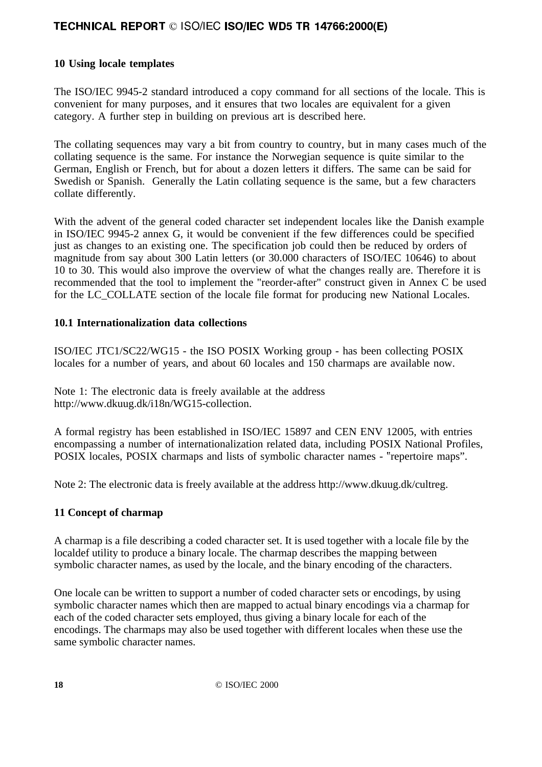# **10 Using locale templates**

The ISO/IEC 9945-2 standard introduced a copy command for all sections of the locale. This is convenient for many purposes, and it ensures that two locales are equivalent for a given category. A further step in building on previous art is described here.

The collating sequences may vary a bit from country to country, but in many cases much of the collating sequence is the same. For instance the Norwegian sequence is quite similar to the German, English or French, but for about a dozen letters it differs. The same can be said for Swedish or Spanish. Generally the Latin collating sequence is the same, but a few characters collate differently.

With the advent of the general coded character set independent locales like the Danish example in ISO/IEC 9945-2 annex G, it would be convenient if the few differences could be specified just as changes to an existing one. The specification job could then be reduced by orders of magnitude from say about 300 Latin letters (or 30.000 characters of ISO/IEC 10646) to about 10 to 30. This would also improve the overview of what the changes really are. Therefore it is recommended that the tool to implement the "reorder-after" construct given in Annex C be used for the LC\_COLLATE section of the locale file format for producing new National Locales.

### **10.1 Internationalization data collections**

ISO/IEC JTC1/SC22/WG15 - the ISO POSIX Working group - has been collecting POSIX locales for a number of years, and about 60 locales and 150 charmaps are available now.

Note 1: The electronic data is freely available at the address http://www.dkuug.dk/i18n/WG15-collection.

A formal registry has been established in ISO/IEC 15897 and CEN ENV 12005, with entries encompassing a number of internationalization related data, including POSIX National Profiles, POSIX locales, POSIX charmaps and lists of symbolic character names - "repertoire maps".

Note 2: The electronic data is freely available at the address http://www.dkuug.dk/cultreg.

### **11 Concept of charmap**

A charmap is a file describing a coded character set. It is used together with a locale file by the localdef utility to produce a binary locale. The charmap describes the mapping between symbolic character names, as used by the locale, and the binary encoding of the characters.

One locale can be written to support a number of coded character sets or encodings, by using symbolic character names which then are mapped to actual binary encodings via a charmap for each of the coded character sets employed, thus giving a binary locale for each of the encodings. The charmaps may also be used together with different locales when these use the same symbolic character names.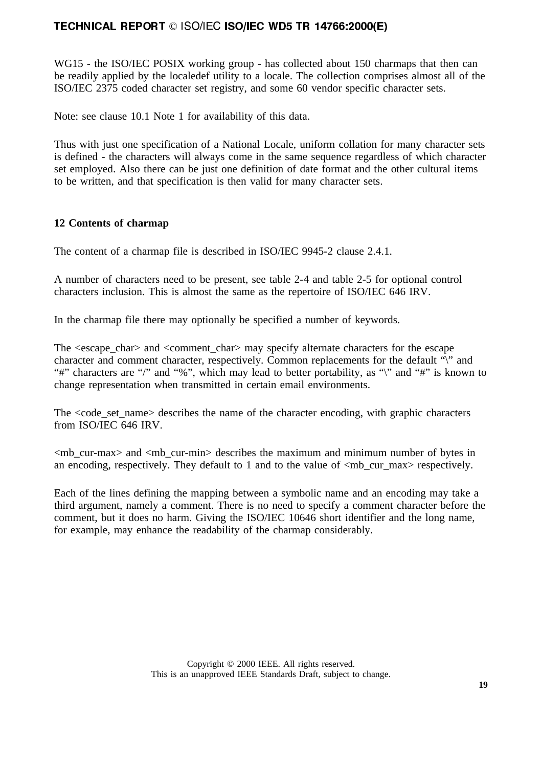WG15 - the ISO/IEC POSIX working group - has collected about 150 charmaps that then can be readily applied by the localedef utility to a locale. The collection comprises almost all of the ISO/IEC 2375 coded character set registry, and some 60 vendor specific character sets.

Note: see clause 10.1 Note 1 for availability of this data.

Thus with just one specification of a National Locale, uniform collation for many character sets is defined - the characters will always come in the same sequence regardless of which character set employed. Also there can be just one definition of date format and the other cultural items to be written, and that specification is then valid for many character sets.

### **12 Contents of charmap**

The content of a charmap file is described in ISO/IEC 9945-2 clause 2.4.1.

A number of characters need to be present, see table 2-4 and table 2-5 for optional control characters inclusion. This is almost the same as the repertoire of ISO/IEC 646 IRV.

In the charmap file there may optionally be specified a number of keywords.

The <escape\_char> and <comment\_char> may specify alternate characters for the escape character and comment character, respectively. Common replacements for the default "\" and "#" characters are "/" and "%", which may lead to better portability, as "\" and "#" is known to change representation when transmitted in certain email environments.

The  $\langle \text{code} \rangle$  set name describes the name of the character encoding, with graphic characters from ISO/IEC 646 IRV.

 $\langle mb\_cur-max \rangle$  and  $\langle mb\_cur-min \rangle$  describes the maximum and minimum number of bytes in an encoding, respectively. They default to 1 and to the value of  $\langle mb \rangle$  cur max respectively.

Each of the lines defining the mapping between a symbolic name and an encoding may take a third argument, namely a comment. There is no need to specify a comment character before the comment, but it does no harm. Giving the ISO/IEC 10646 short identifier and the long name, for example, may enhance the readability of the charmap considerably.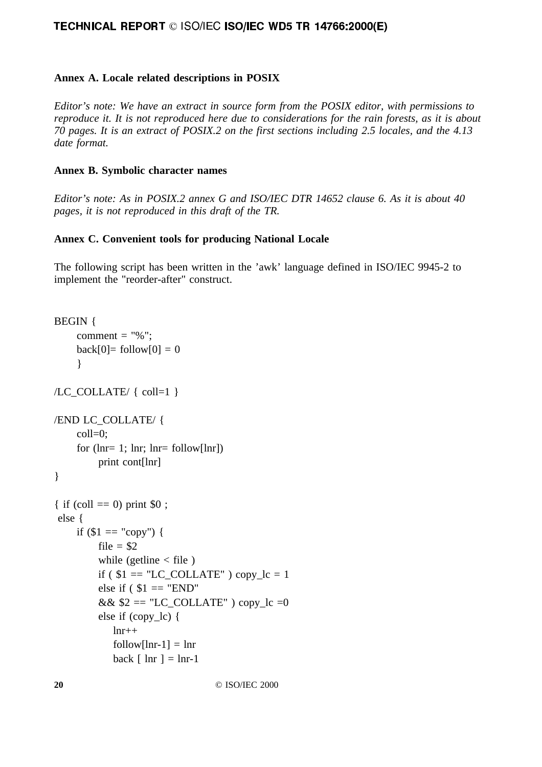### **Annex A. Locale related descriptions in POSIX**

*Editor's note: We have an extract in source form from the POSIX editor, with permissions to reproduce it. It is not reproduced here due to considerations for the rain forests, as it is about 70 pages. It is an extract of POSIX.2 on the first sections including 2.5 locales, and the 4.13 date format.*

### **Annex B. Symbolic character names**

*Editor's note: As in POSIX.2 annex G and ISO/IEC DTR 14652 clause 6. As it is about 40 pages, it is not reproduced in this draft of the TR.*

### **Annex C. Convenient tools for producing National Locale**

The following script has been written in the 'awk' language defined in ISO/IEC 9945-2 to implement the "reorder-after" construct.

```
BEGIN {
     comment = "%";
     back[0] = follow[0] = 0}
/LC_COLLATE/ { coll=1 }
/END LC_COLLATE/ {
     coll=0;
     for (\text{lnr}= 1; \text{lnr}; \text{lnr}= follow[\text{lnr}])print cont[lnr]
}
{ if (coll = 0) print $0;
  else {
     if \$1 == "copy") {
          file = $2
          while (getline \langle file)
          if ($1 = "LC\_COLLATE") copylc = 1else if ($1 = "END"&& $2 = "LC COLLATE" ) copy lc =0
          else if (copy_lc) {
              lnr++follow[lnr-1] = lnrback \lceil \ln r \rceil = \ln r - 1
```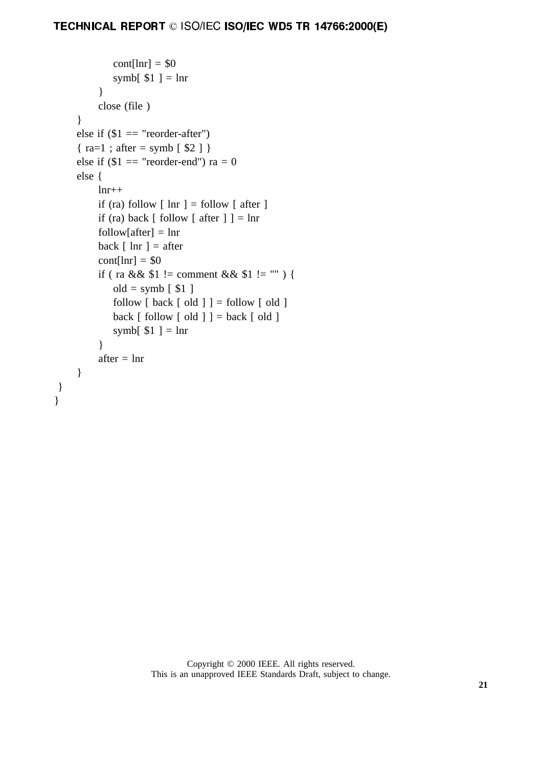```
\text{cont}[\text{lnr}] = $0symb[$1 ] = \ln r}
      close (file )
}
else if $1 = "reorder-after"){ra=1; after = symb [ $2 ]}
else if $1 = "reorder-end") ra = 0
else {
      lnr++if (ra) follow \lceil \ln r \rceil = follow \lceil \ln r \rceilif (ra) back \lceil follow \lceil after \rceil \rceil = \ln rfollow[after] = lnrback \lceil \ln r \rceil = \text{after}\text{cont}[\text{lnr}] = $0if ( ra && $1 := \text{comment} \&\& 1 := \text{""} ) {
           old = symb [ $1]follow \lceil \text{back} \rceil old \rceil = follow \lceil \text{old} \rceilback \lceil follow \lceil old \rceil \rceil = back \lceil old \rceilsymb[$1 ] = \ln r}
      after = \ln r}
```
 } }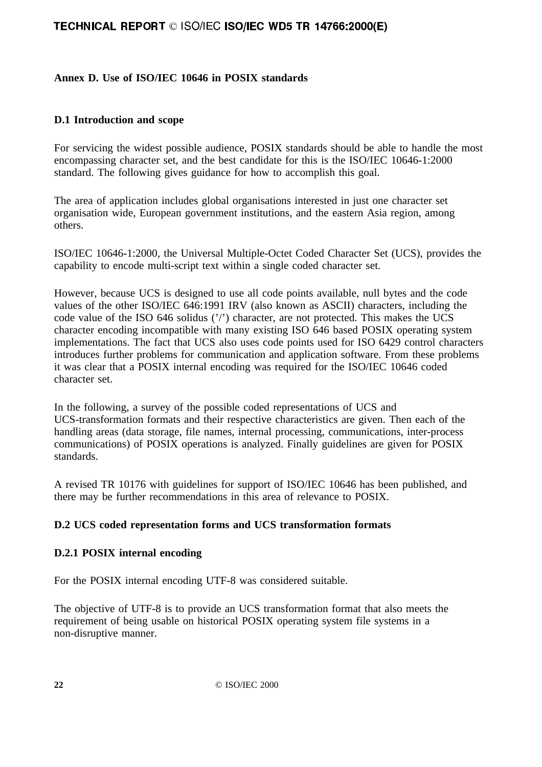### **Annex D. Use of ISO/IEC 10646 in POSIX standards**

### **D.1 Introduction and scope**

For servicing the widest possible audience, POSIX standards should be able to handle the most encompassing character set, and the best candidate for this is the ISO/IEC 10646-1:2000 standard. The following gives guidance for how to accomplish this goal.

The area of application includes global organisations interested in just one character set organisation wide, European government institutions, and the eastern Asia region, among others.

ISO/IEC 10646-1:2000, the Universal Multiple-Octet Coded Character Set (UCS), provides the capability to encode multi-script text within a single coded character set.

However, because UCS is designed to use all code points available, null bytes and the code values of the other ISO/IEC 646:1991 IRV (also known as ASCII) characters, including the code value of the ISO 646 solidus ('/') character, are not protected. This makes the UCS character encoding incompatible with many existing ISO 646 based POSIX operating system implementations. The fact that UCS also uses code points used for ISO 6429 control characters introduces further problems for communication and application software. From these problems it was clear that a POSIX internal encoding was required for the ISO/IEC 10646 coded character set.

In the following, a survey of the possible coded representations of UCS and UCS-transformation formats and their respective characteristics are given. Then each of the handling areas (data storage, file names, internal processing, communications, inter-process communications) of POSIX operations is analyzed. Finally guidelines are given for POSIX standards.

A revised TR 10176 with guidelines for support of ISO/IEC 10646 has been published, and there may be further recommendations in this area of relevance to POSIX.

# **D.2 UCS coded representation forms and UCS transformation formats**

### **D.2.1 POSIX internal encoding**

For the POSIX internal encoding UTF-8 was considered suitable.

The objective of UTF-8 is to provide an UCS transformation format that also meets the requirement of being usable on historical POSIX operating system file systems in a non-disruptive manner.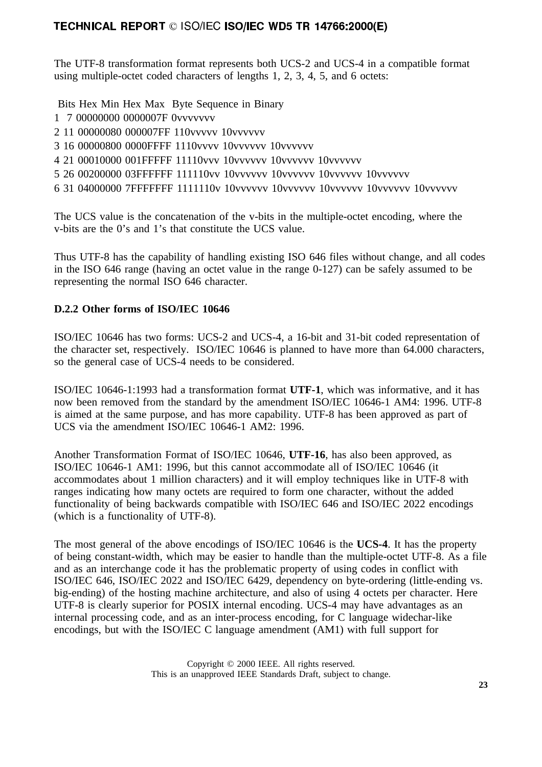The UTF-8 transformation format represents both UCS-2 and UCS-4 in a compatible format using multiple-octet coded characters of lengths 1, 2, 3, 4, 5, and 6 octets:

Bits Hex Min Hex Max Byte Sequence in Binary

- 1 7 00000000 0000007F 0vvvvvvv
- 2 11 00000080 000007FF 110vvvvv 10vvvvvv
- 3 16 00000800 0000FFFF 1110vvvv 10vvvvvv 10vvvvvv
- 4 21 00010000 001FFFFF 11110vvv 10vvvvvv 10vvvvvv 10vvvvvv
- 5 26 00200000 03FFFFFF 111110vv 10vvvvvv 10vvvvvv 10vvvvvv 10vvvvvv
- 6 31 04000000 7FFFFFFF 1111110v 10vvvvvv 10vvvvvv 10vvvvvv 10vvvvvv 10vvvvvv

The UCS value is the concatenation of the v-bits in the multiple-octet encoding, where the v-bits are the 0's and 1's that constitute the UCS value.

Thus UTF-8 has the capability of handling existing ISO 646 files without change, and all codes in the ISO 646 range (having an octet value in the range 0-127) can be safely assumed to be representing the normal ISO 646 character.

### **D.2.2 Other forms of ISO/IEC 10646**

ISO/IEC 10646 has two forms: UCS-2 and UCS-4, a 16-bit and 31-bit coded representation of the character set, respectively. ISO/IEC 10646 is planned to have more than 64.000 characters, so the general case of UCS-4 needs to be considered.

ISO/IEC 10646-1:1993 had a transformation format **UTF-1**, which was informative, and it has now been removed from the standard by the amendment ISO/IEC 10646-1 AM4: 1996. UTF-8 is aimed at the same purpose, and has more capability. UTF-8 has been approved as part of UCS via the amendment ISO/IEC 10646-1 AM2: 1996.

Another Transformation Format of ISO/IEC 10646, **UTF-16**, has also been approved, as ISO/IEC 10646-1 AM1: 1996, but this cannot accommodate all of ISO/IEC 10646 (it accommodates about 1 million characters) and it will employ techniques like in UTF-8 with ranges indicating how many octets are required to form one character, without the added functionality of being backwards compatible with ISO/IEC 646 and ISO/IEC 2022 encodings (which is a functionality of UTF-8).

The most general of the above encodings of ISO/IEC 10646 is the **UCS-4**. It has the property of being constant-width, which may be easier to handle than the multiple-octet UTF-8. As a file and as an interchange code it has the problematic property of using codes in conflict with ISO/IEC 646, ISO/IEC 2022 and ISO/IEC 6429, dependency on byte-ordering (little-ending vs. big-ending) of the hosting machine architecture, and also of using 4 octets per character. Here UTF-8 is clearly superior for POSIX internal encoding. UCS-4 may have advantages as an internal processing code, and as an inter-process encoding, for C language widechar-like encodings, but with the ISO/IEC C language amendment (AM1) with full support for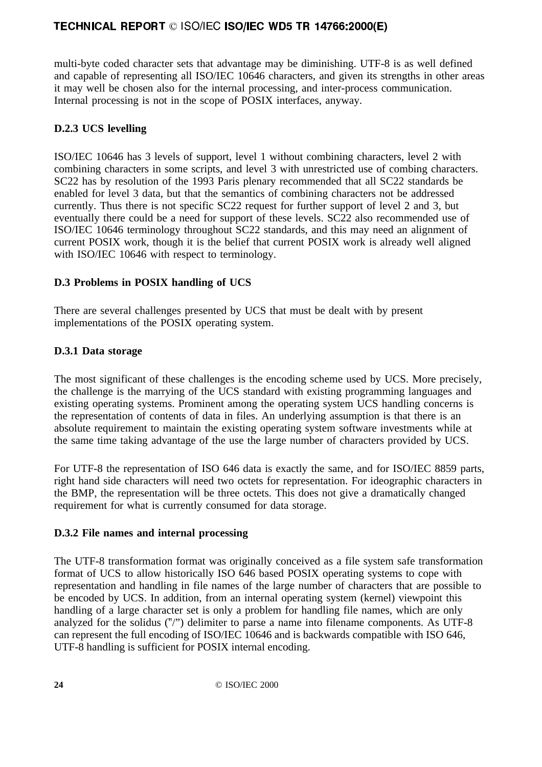multi-byte coded character sets that advantage may be diminishing. UTF-8 is as well defined and capable of representing all ISO/IEC 10646 characters, and given its strengths in other areas it may well be chosen also for the internal processing, and inter-process communication. Internal processing is not in the scope of POSIX interfaces, anyway.

# **D.2.3 UCS levelling**

ISO/IEC 10646 has 3 levels of support, level 1 without combining characters, level 2 with combining characters in some scripts, and level 3 with unrestricted use of combing characters. SC22 has by resolution of the 1993 Paris plenary recommended that all SC22 standards be enabled for level 3 data, but that the semantics of combining characters not be addressed currently. Thus there is not specific SC22 request for further support of level 2 and 3, but eventually there could be a need for support of these levels. SC22 also recommended use of ISO/IEC 10646 terminology throughout SC22 standards, and this may need an alignment of current POSIX work, though it is the belief that current POSIX work is already well aligned with ISO/IEC 10646 with respect to terminology.

# **D.3 Problems in POSIX handling of UCS**

There are several challenges presented by UCS that must be dealt with by present implementations of the POSIX operating system.

# **D.3.1 Data storage**

The most significant of these challenges is the encoding scheme used by UCS. More precisely, the challenge is the marrying of the UCS standard with existing programming languages and existing operating systems. Prominent among the operating system UCS handling concerns is the representation of contents of data in files. An underlying assumption is that there is an absolute requirement to maintain the existing operating system software investments while at the same time taking advantage of the use the large number of characters provided by UCS.

For UTF-8 the representation of ISO 646 data is exactly the same, and for ISO/IEC 8859 parts, right hand side characters will need two octets for representation. For ideographic characters in the BMP, the representation will be three octets. This does not give a dramatically changed requirement for what is currently consumed for data storage.

# **D.3.2 File names and internal processing**

The UTF-8 transformation format was originally conceived as a file system safe transformation format of UCS to allow historically ISO 646 based POSIX operating systems to cope with representation and handling in file names of the large number of characters that are possible to be encoded by UCS. In addition, from an internal operating system (kernel) viewpoint this handling of a large character set is only a problem for handling file names, which are only analyzed for the solidus ("/") delimiter to parse a name into filename components. As UTF-8 can represent the full encoding of ISO/IEC 10646 and is backwards compatible with ISO 646, UTF-8 handling is sufficient for POSIX internal encoding.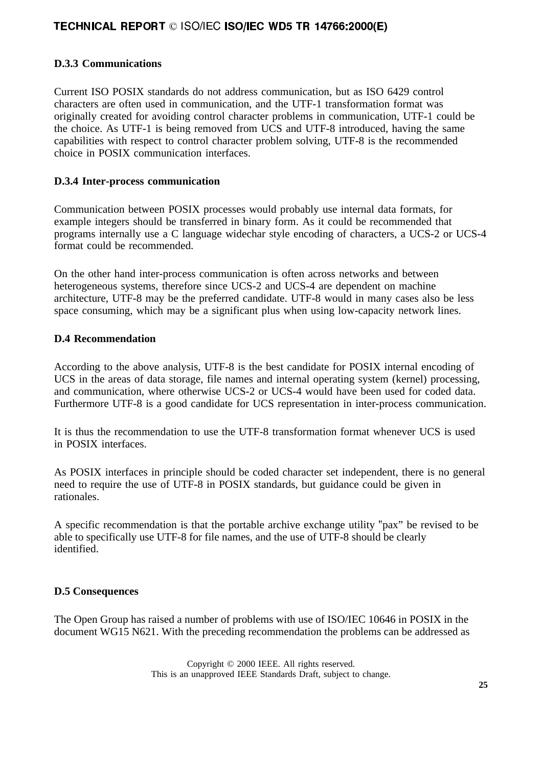### **D.3.3 Communications**

Current ISO POSIX standards do not address communication, but as ISO 6429 control characters are often used in communication, and the UTF-1 transformation format was originally created for avoiding control character problems in communication, UTF-1 could be the choice. As UTF-1 is being removed from UCS and UTF-8 introduced, having the same capabilities with respect to control character problem solving, UTF-8 is the recommended choice in POSIX communication interfaces.

### **D.3.4 Inter-process communication**

Communication between POSIX processes would probably use internal data formats, for example integers should be transferred in binary form. As it could be recommended that programs internally use a C language widechar style encoding of characters, a UCS-2 or UCS-4 format could be recommended.

On the other hand inter-process communication is often across networks and between heterogeneous systems, therefore since UCS-2 and UCS-4 are dependent on machine architecture, UTF-8 may be the preferred candidate. UTF-8 would in many cases also be less space consuming, which may be a significant plus when using low-capacity network lines.

### **D.4 Recommendation**

According to the above analysis, UTF-8 is the best candidate for POSIX internal encoding of UCS in the areas of data storage, file names and internal operating system (kernel) processing, and communication, where otherwise UCS-2 or UCS-4 would have been used for coded data. Furthermore UTF-8 is a good candidate for UCS representation in inter-process communication.

It is thus the recommendation to use the UTF-8 transformation format whenever UCS is used in POSIX interfaces.

As POSIX interfaces in principle should be coded character set independent, there is no general need to require the use of UTF-8 in POSIX standards, but guidance could be given in rationales.

A specific recommendation is that the portable archive exchange utility "pax" be revised to be able to specifically use UTF-8 for file names, and the use of UTF-8 should be clearly identified.

### **D.5 Consequences**

The Open Group has raised a number of problems with use of ISO/IEC 10646 in POSIX in the document WG15 N621. With the preceding recommendation the problems can be addressed as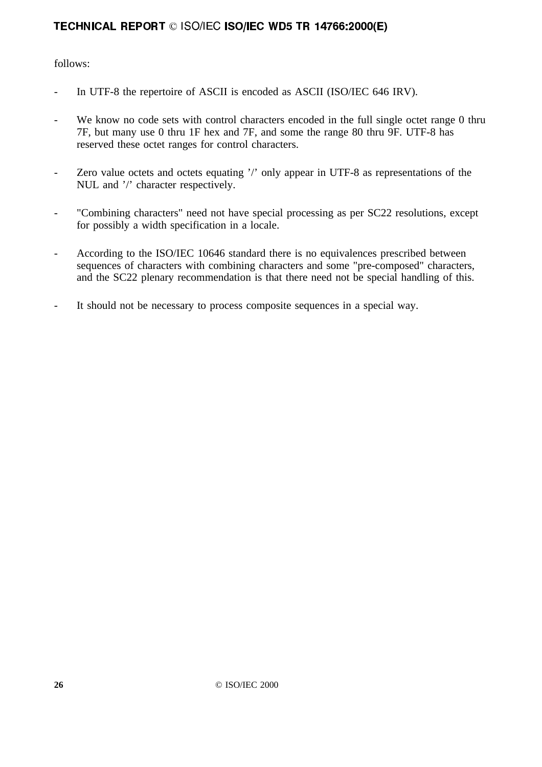follows:

- In UTF-8 the repertoire of ASCII is encoded as ASCII (ISO/IEC 646 IRV).
- We know no code sets with control characters encoded in the full single octet range 0 thru 7F, but many use 0 thru 1F hex and 7F, and some the range 80 thru 9F. UTF-8 has reserved these octet ranges for control characters.
- Zero value octets and octets equating '/' only appear in UTF-8 as representations of the NUL and '/' character respectively.
- "Combining characters" need not have special processing as per SC22 resolutions, except for possibly a width specification in a locale.
- According to the ISO/IEC 10646 standard there is no equivalences prescribed between sequences of characters with combining characters and some "pre-composed" characters, and the SC22 plenary recommendation is that there need not be special handling of this.
- It should not be necessary to process composite sequences in a special way.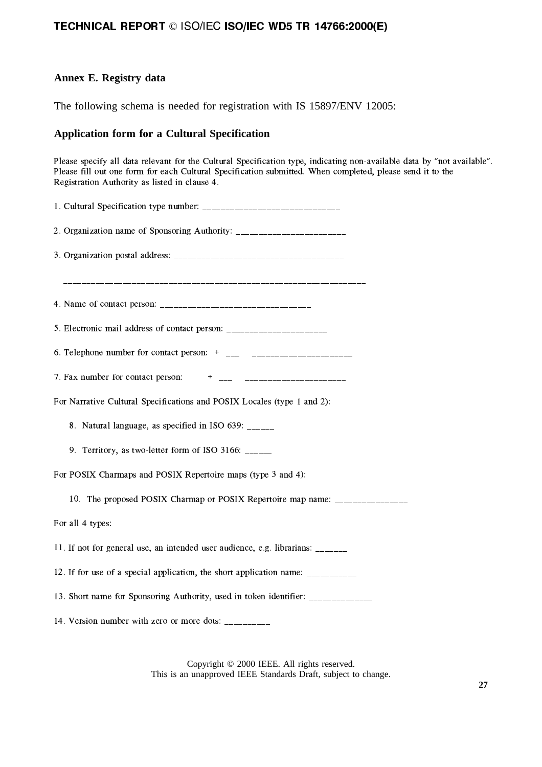### **Annex E. Registry data**

The following schema is needed for registration with IS 15897/ENV 12005:

### **Application form for a Cultural Specification**

 $\mathcal{L}^{*}$  and the contract of the contract of the contract of the contract of the contract of the contract of the contract of the contract of the contract of the contract of the contract of the contract of the contract  $\frac{1}{2}$  and a set of the set of the set of the set of the set of the set of the set of the set of the set of the set of the set of the set of the set of the set of the set of the set of the set of the set of the set of -|~#|}#(| e#|#(!}~{||~#( ! e {|}~/

| 2. Organization name of Sponsoring Authority: __________________________________  |
|-----------------------------------------------------------------------------------|
|                                                                                   |
|                                                                                   |
|                                                                                   |
| 5. Electronic mail address of contact person: ___________________________________ |
|                                                                                   |
|                                                                                   |
| For Narrative Cultural Specifications and POSIX Locales (type 1 and 2):           |
| 8. Natural language, as specified in ISO 639: _____                               |
| 9. Territory, as two-letter form of ISO 3166: _____                               |
| For POSIX Charmaps and POSIX Repertoire maps (type 3 and 4):                      |
| 10. The proposed POSIX Charmap or POSIX Repertoire map name: ___________________  |
| For all 4 types:                                                                  |
| 11. If not for general use, an intended user audience, e.g. librarians: ______    |
| 12. If for use of a special application, the short application name: __________   |
| 13. Short name for Sponsoring Authority, used in token identifier: _____________  |
| 14. Version number with zero or more dots: __________                             |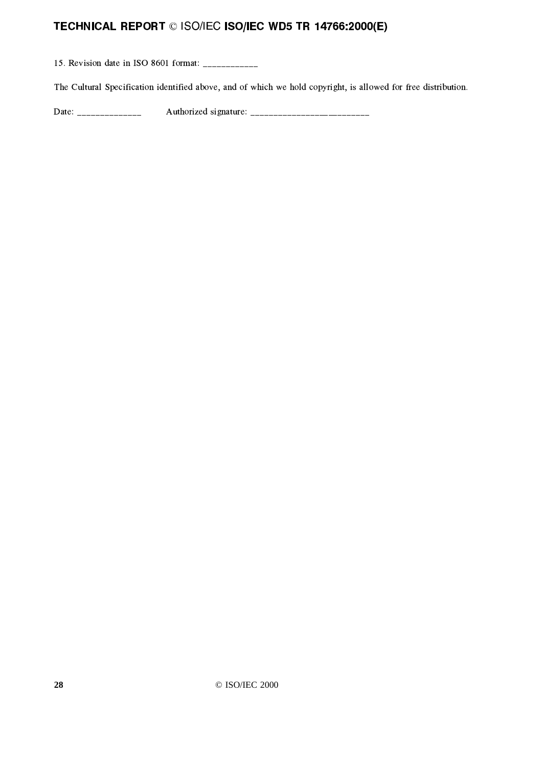a ~=| e }#(\* e¨ ®¢³¶ "}#\$\

£;{#|}{ | }#(| e| #(|-| !}} !| e/{ ! |#-|~}{{| !-P\* |~#|#(| \

·O}#(\$\ F#|| !~=| }#|\$